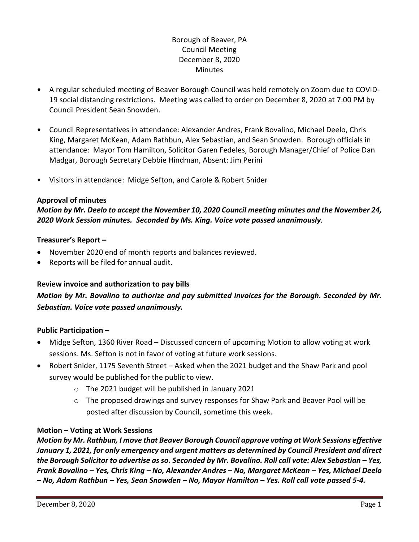# Borough of Beaver, PA Council Meeting December 8, 2020 **Minutes**

- A regular scheduled meeting of Beaver Borough Council was held remotely on Zoom due to COVID-19 social distancing restrictions. Meeting was called to order on December 8, 2020 at 7:00 PM by Council President Sean Snowden.
- Council Representatives in attendance: Alexander Andres, Frank Bovalino, Michael Deelo, Chris King, Margaret McKean, Adam Rathbun, Alex Sebastian, and Sean Snowden. Borough officials in attendance: Mayor Tom Hamilton, Solicitor Garen Fedeles, Borough Manager/Chief of Police Dan Madgar, Borough Secretary Debbie Hindman, Absent: Jim Perini
- Visitors in attendance: Midge Sefton, and Carole & Robert Snider

### **Approval of minutes**

*Motion by Mr. Deelo to accept the November 10, 2020 Council meeting minutes and the November 24, 2020 Work Session minutes. Seconded by Ms. King. Voice vote passed unanimously.* 

### **Treasurer's Report –**

- November 2020 end of month reports and balances reviewed.
- Reports will be filed for annual audit.

### **Review invoice and authorization to pay bills**

# *Motion by Mr. Bovalino to authorize and pay submitted invoices for the Borough. Seconded by Mr. Sebastian. Voice vote passed unanimously.*

### **Public Participation –**

- Midge Sefton, 1360 River Road Discussed concern of upcoming Motion to allow voting at work sessions. Ms. Sefton is not in favor of voting at future work sessions.
- Robert Snider, 1175 Seventh Street Asked when the 2021 budget and the Shaw Park and pool survey would be published for the public to view.
	- o The 2021 budget will be published in January 2021
	- $\circ$  The proposed drawings and survey responses for Shaw Park and Beaver Pool will be posted after discussion by Council, sometime this week.

### **Motion – Voting at Work Sessions**

*Motion by Mr. Rathbun, I move that Beaver Borough Council approve voting at Work Sessions effective January 1, 2021, for only emergency and urgent matters as determined by Council President and direct the Borough Solicitor to advertise as so. Seconded by Mr. Bovalino. Roll call vote: Alex Sebastian – Yes, Frank Bovalino – Yes, Chris King – No, Alexander Andres – No, Margaret McKean – Yes, Michael Deelo – No, Adam Rathbun – Yes, Sean Snowden – No, Mayor Hamilton – Yes. Roll call vote passed 5-4.*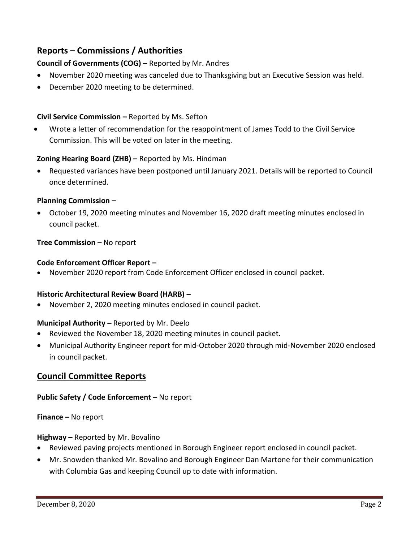# **Reports – Commissions / Authorities**

## **Council of Governments (COG) –** Reported by Mr. Andres

- November 2020 meeting was canceled due to Thanksgiving but an Executive Session was held.
- December 2020 meeting to be determined.

## **Civil Service Commission –** Reported by Ms. Sefton

• Wrote a letter of recommendation for the reappointment of James Todd to the Civil Service Commission. This will be voted on later in the meeting.

### **Zoning Hearing Board (ZHB) –** Reported by Ms. Hindman

• Requested variances have been postponed until January 2021. Details will be reported to Council once determined.

### **Planning Commission –**

• October 19, 2020 meeting minutes and November 16, 2020 draft meeting minutes enclosed in council packet.

### **Tree Commission –** No report

#### **Code Enforcement Officer Report –**

• November 2020 report from Code Enforcement Officer enclosed in council packet.

#### **Historic Architectural Review Board (HARB) –**

• November 2, 2020 meeting minutes enclosed in council packet.

#### **Municipal Authority –** Reported by Mr. Deelo

- Reviewed the November 18, 2020 meeting minutes in council packet.
- Municipal Authority Engineer report for mid-October 2020 through mid-November 2020 enclosed in council packet.

### **Council Committee Reports**

#### **Public Safety / Code Enforcement –** No report

#### **Finance –** No report

#### **Highway –** Reported by Mr. Bovalino

- Reviewed paving projects mentioned in Borough Engineer report enclosed in council packet.
- Mr. Snowden thanked Mr. Bovalino and Borough Engineer Dan Martone for their communication with Columbia Gas and keeping Council up to date with information.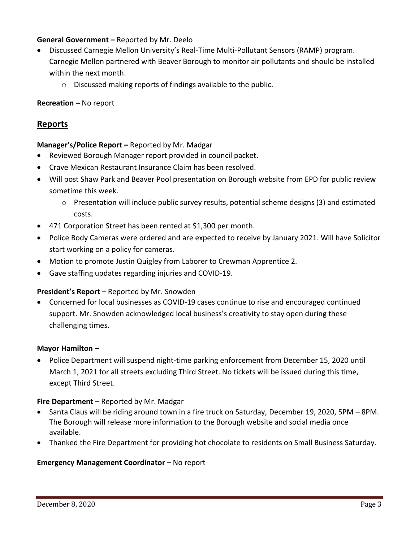### **General Government –** Reported by Mr. Deelo

- Discussed Carnegie Mellon University's Real-Time Multi-Pollutant Sensors (RAMP) program. Carnegie Mellon partnered with Beaver Borough to monitor air pollutants and should be installed within the next month.
	- o Discussed making reports of findings available to the public.

### **Recreation –** No report

## **Reports**

### **Manager's/Police Report –** Reported by Mr. Madgar

- Reviewed Borough Manager report provided in council packet.
- Crave Mexican Restaurant Insurance Claim has been resolved.
- Will post Shaw Park and Beaver Pool presentation on Borough website from EPD for public review sometime this week.
	- $\circ$  Presentation will include public survey results, potential scheme designs (3) and estimated costs.
- 471 Corporation Street has been rented at \$1,300 per month.
- Police Body Cameras were ordered and are expected to receive by January 2021. Will have Solicitor start working on a policy for cameras.
- Motion to promote Justin Quigley from Laborer to Crewman Apprentice 2.
- Gave staffing updates regarding injuries and COVID-19.

#### **President's Report –** Reported by Mr. Snowden

• Concerned for local businesses as COVID-19 cases continue to rise and encouraged continued support. Mr. Snowden acknowledged local business's creativity to stay open during these challenging times.

#### **Mayor Hamilton –**

• Police Department will suspend night-time parking enforcement from December 15, 2020 until March 1, 2021 for all streets excluding Third Street. No tickets will be issued during this time, except Third Street.

#### **Fire Department** – Reported by Mr. Madgar

- Santa Claus will be riding around town in a fire truck on Saturday, December 19, 2020, 5PM 8PM. The Borough will release more information to the Borough website and social media once available.
- Thanked the Fire Department for providing hot chocolate to residents on Small Business Saturday.

#### **Emergency Management Coordinator - No report**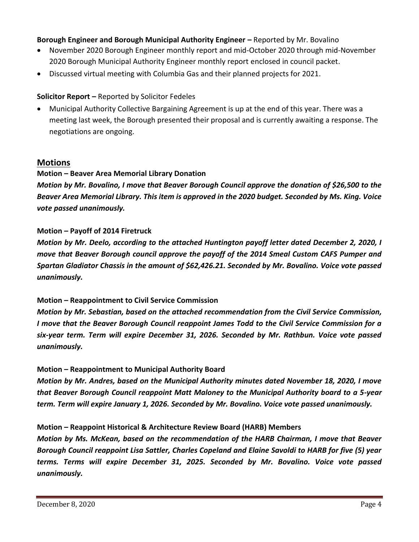### **Borough Engineer and Borough Municipal Authority Engineer –** Reported by Mr. Bovalino

- November 2020 Borough Engineer monthly report and mid-October 2020 through mid-November 2020 Borough Municipal Authority Engineer monthly report enclosed in council packet.
- Discussed virtual meeting with Columbia Gas and their planned projects for 2021.

#### **Solicitor Report –** Reported by Solicitor Fedeles

• Municipal Authority Collective Bargaining Agreement is up at the end of this year. There was a meeting last week, the Borough presented their proposal and is currently awaiting a response. The negotiations are ongoing.

### **Motions**

### **Motion – Beaver Area Memorial Library Donation**

*Motion by Mr. Bovalino, I move that Beaver Borough Council approve the donation of \$26,500 to the Beaver Area Memorial Library. This item is approved in the 2020 budget. Seconded by Ms. King. Voice vote passed unanimously.*

#### **Motion – Payoff of 2014 Firetruck**

*Motion by Mr. Deelo, according to the attached Huntington payoff letter dated December 2, 2020, I move that Beaver Borough council approve the payoff of the 2014 Smeal Custom CAFS Pumper and Spartan Gladiator Chassis in the amount of \$62,426.21. Seconded by Mr. Bovalino. Voice vote passed unanimously.*

#### **Motion – Reappointment to Civil Service Commission**

*Motion by Mr. Sebastian, based on the attached recommendation from the Civil Service Commission, I move that the Beaver Borough Council reappoint James Todd to the Civil Service Commission for a six-year term. Term will expire December 31, 2026. Seconded by Mr. Rathbun. Voice vote passed unanimously.*

#### **Motion – Reappointment to Municipal Authority Board**

*Motion by Mr. Andres, based on the Municipal Authority minutes dated November 18, 2020, I move that Beaver Borough Council reappoint Matt Maloney to the Municipal Authority board to a 5-year term. Term will expire January 1, 2026. Seconded by Mr. Bovalino. Voice vote passed unanimously.*

#### **Motion – Reappoint Historical & Architecture Review Board (HARB) Members**

*Motion by Ms. McKean, based on the recommendation of the HARB Chairman, I move that Beaver Borough Council reappoint Lisa Sattler, Charles Copeland and Elaine Savoldi to HARB for five (5) year terms. Terms will expire December 31, 2025. Seconded by Mr. Bovalino. Voice vote passed unanimously.*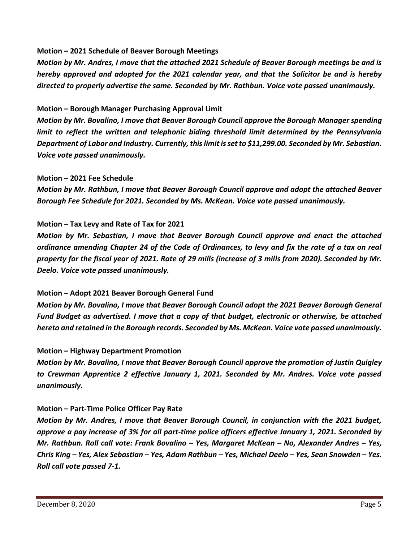#### **Motion – 2021 Schedule of Beaver Borough Meetings**

*Motion by Mr. Andres, I move that the attached 2021 Schedule of Beaver Borough meetings be and is hereby approved and adopted for the 2021 calendar year, and that the Solicitor be and is hereby directed to properly advertise the same. Seconded by Mr. Rathbun. Voice vote passed unanimously.*

#### **Motion – Borough Manager Purchasing Approval Limit**

*Motion by Mr. Bovalino, I move that Beaver Borough Council approve the Borough Manager spending*  limit to reflect the written and telephonic biding threshold limit determined by the Pennsylvania *Department of Labor and Industry. Currently, this limit is set to \$11,299.00. Seconded by Mr. Sebastian. Voice vote passed unanimously.*

#### **Motion – 2021 Fee Schedule**

*Motion by Mr. Rathbun, I move that Beaver Borough Council approve and adopt the attached Beaver Borough Fee Schedule for 2021. Seconded by Ms. McKean. Voice vote passed unanimously.*

#### **Motion – Tax Levy and Rate of Tax for 2021**

*Motion by Mr. Sebastian, I move that Beaver Borough Council approve and enact the attached ordinance amending Chapter 24 of the Code of Ordinances, to levy and fix the rate of a tax on real property for the fiscal year of 2021. Rate of 29 mills (increase of 3 mills from 2020). Seconded by Mr. Deelo. Voice vote passed unanimously.*

#### **Motion – Adopt 2021 Beaver Borough General Fund**

*Motion by Mr. Bovalino, I move that Beaver Borough Council adopt the 2021 Beaver Borough General Fund Budget as advertised. I move that a copy of that budget, electronic or otherwise, be attached hereto and retained in the Borough records. Seconded by Ms. McKean. Voice vote passed unanimously.*

#### **Motion – Highway Department Promotion**

*Motion by Mr. Bovalino, I move that Beaver Borough Council approve the promotion of Justin Quigley to Crewman Apprentice 2 effective January 1, 2021. Seconded by Mr. Andres. Voice vote passed unanimously.*

#### **Motion – Part-Time Police Officer Pay Rate**

*Motion by Mr. Andres, I move that Beaver Borough Council, in conjunction with the 2021 budget, approve a pay increase of 3% for all part-time police officers effective January 1, 2021. Seconded by Mr. Rathbun. Roll call vote: Frank Bovalino – Yes, Margaret McKean – No, Alexander Andres – Yes, Chris King – Yes, Alex Sebastian – Yes, Adam Rathbun – Yes, Michael Deelo – Yes, Sean Snowden – Yes. Roll call vote passed 7-1.*